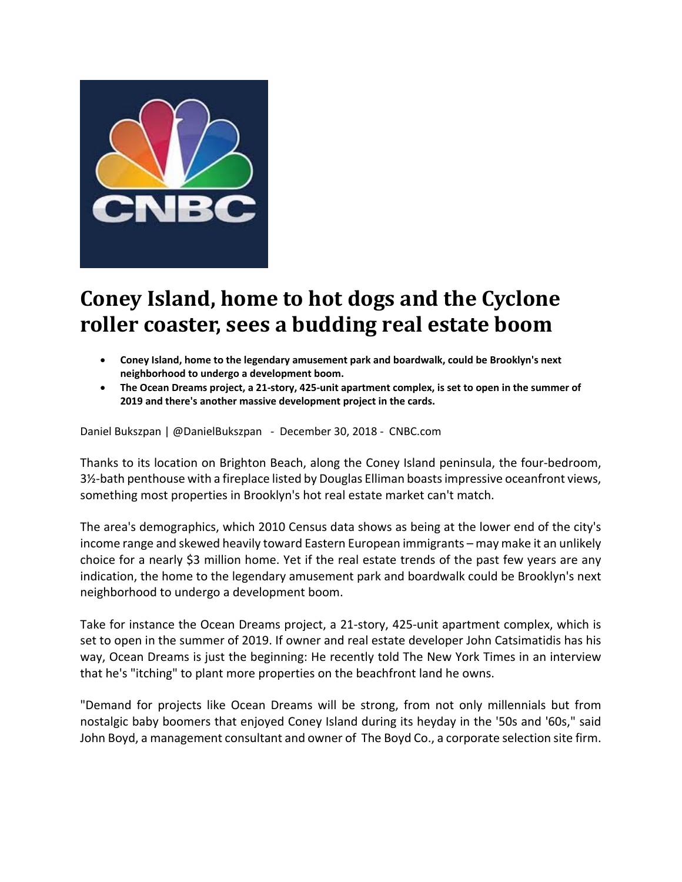

## **Coney Island, home to hot dogs and the Cyclone roller coaster, sees a budding real estate boom**

- **Coney Island, home to the legendary amusement park and boardwalk, could be Brooklyn's next neighborhood to undergo a development boom.**
- The Ocean Dreams project, a 21-story, 425-unit apartment complex, is set to open in the summer of **2019 and there's another massive development project in the cards.**

Daniel Bukszpan | @DanielBukszpan ‐ December 30, 2018 ‐ CNBC.com

Thanks to its location on Brighton Beach, along the Coney Island peninsula, the four‐bedroom, 3<sup>1</sup>/<sub>2</sub> bath penthouse with a fireplace listed by Douglas Elliman boasts impressive oceanfront views, something most properties in Brooklyn's hot real estate market can't match.

The area's demographics, which 2010 Census data shows as being at the lower end of the city's income range and skewed heavily toward Eastern European immigrants – may make it an unlikely choice for a nearly \$3 million home. Yet if the real estate trends of the past few years are any indication, the home to the legendary amusement park and boardwalk could be Brooklyn's next neighborhood to undergo a development boom.

Take for instance the Ocean Dreams project, a 21‐story, 425‐unit apartment complex, which is set to open in the summer of 2019. If owner and real estate developer John Catsimatidis has his way, Ocean Dreams is just the beginning: He recently told The New York Times in an interview that he's "itching" to plant more properties on the beachfront land he owns.

"Demand for projects like Ocean Dreams will be strong, from not only millennials but from nostalgic baby boomers that enjoyed Coney Island during its heyday in the '50s and '60s," said John Boyd, a management consultant and owner of The Boyd Co., a corporate selection site firm.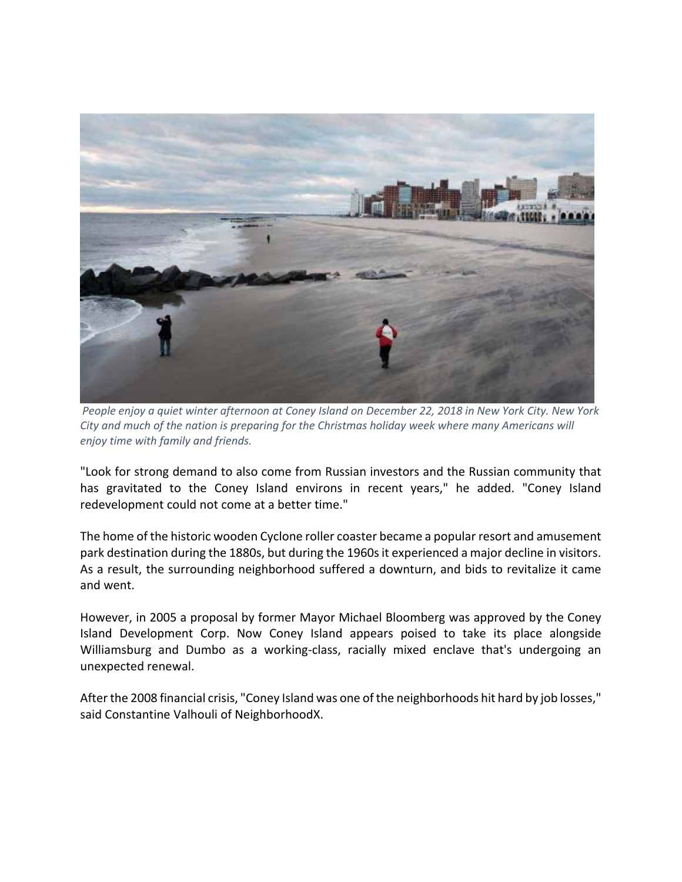

People enjoy a quiet winter afternoon at Coney Island on December 22, 2018 in New York City. New York *City and much of the nation is preparing for the Christmas holiday week where many Americans will enjoy time with family and friends.*

"Look for strong demand to also come from Russian investors and the Russian community that has gravitated to the Coney Island environs in recent years," he added. "Coney Island redevelopment could not come at a better time."

The home of the historic wooden Cyclone roller coaster became a popular resort and amusement park destination during the 1880s, but during the 1960s it experienced a major decline in visitors. As a result, the surrounding neighborhood suffered a downturn, and bids to revitalize it came and went.

However, in 2005 a proposal by former Mayor Michael Bloomberg was approved by the Coney Island Development Corp. Now Coney Island appears poised to take its place alongside Williamsburg and Dumbo as a working-class, racially mixed enclave that's undergoing an unexpected renewal.

After the 2008 financial crisis, "Coney Island was one of the neighborhoods hit hard by job losses," said Constantine Valhouli of NeighborhoodX.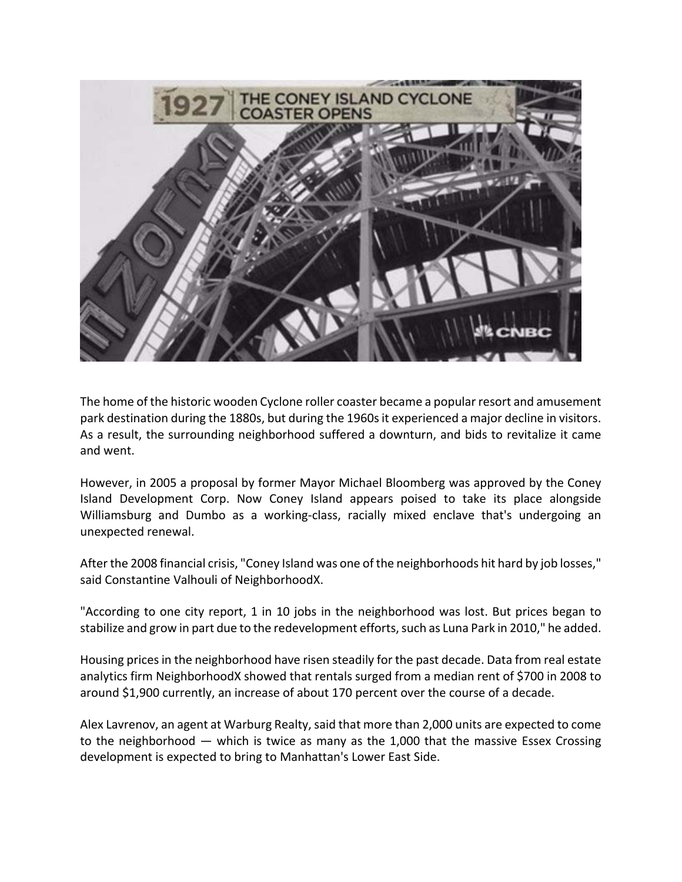

The home of the historic wooden Cyclone roller coaster became a popular resort and amusement park destination during the 1880s, but during the 1960s it experienced a major decline in visitors. As a result, the surrounding neighborhood suffered a downturn, and bids to revitalize it came and went.

However, in 2005 a proposal by former Mayor Michael Bloomberg was approved by the Coney Island Development Corp. Now Coney Island appears poised to take its place alongside Williamsburg and Dumbo as a working-class, racially mixed enclave that's undergoing an unexpected renewal.

After the 2008 financial crisis, "Coney Island was one of the neighborhoods hit hard by job losses," said Constantine Valhouli of NeighborhoodX.

"According to one city report, 1 in 10 jobs in the neighborhood was lost. But prices began to stabilize and grow in part due to the redevelopment efforts, such as Luna Park in 2010," he added.

Housing pricesin the neighborhood have risen steadily for the past decade. Data from real estate analytics firm NeighborhoodX showed that rentals surged from a median rent of \$700 in 2008 to around \$1,900 currently, an increase of about 170 percent over the course of a decade.

Alex Lavrenov, an agent at Warburg Realty, said that more than 2,000 units are expected to come to the neighborhood — which is twice as many as the 1,000 that the massive Essex Crossing development is expected to bring to Manhattan's Lower East Side.